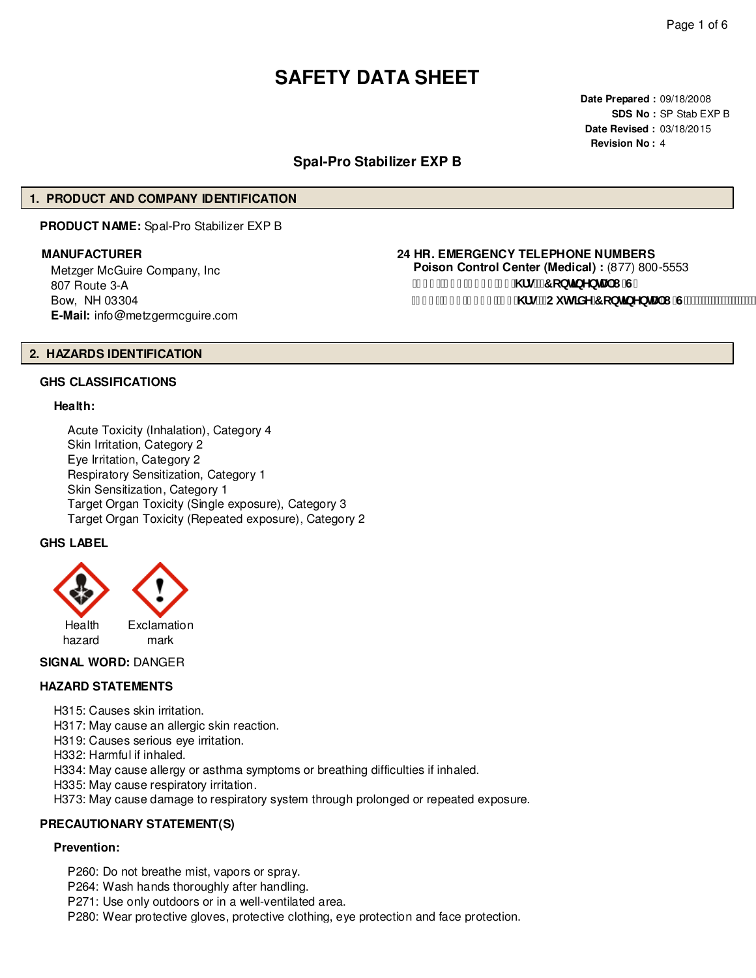# **SAFETY DATA SHEET**

**Date Prepared :** 09/18/2008 **SDS No :** SP Stab EXP B **Date Revised :** 03/18/2015 **Revision No :** 4

# **Spal-Pro Stabilizer EXP B**

# **1. PRODUCT AND COMPANY IDENTIFICATION**

**PRODUCT NAME:** Spal-Pro Stabilizer EXP B

Metzger McGuire Company, Inc 807 Route 3-A Bow, NH 03304 **E-Mail:** info@metzgermcguire.com

# **MANUFACTURER 24 HR. EMERGENCY TELEPHONE NUMBERS**

**Poison Control Center (Medical) :** (877) 800-5553 f| \$\$Ł&) ) !' - & **( `& \ fg"fFcbHbYbHJ** 'I 'G" f| % Ł&(, !\$), ) "&( \fg"fCi hg]XY7 cbh]bYbHJ | "G'Ł"

# **2. HAZARDS IDENTIFICATION**

# **GHS CLASSIFICATIONS**

#### **Health:**

Acute Toxicity (Inhalation), Category 4 Skin Irritation, Category 2 Eye Irritation, Category 2 Respiratory Sensitization, Category 1 Skin Sensitization, Category 1 Target Organ Toxicity (Single exposure), Category 3 Target Organ Toxicity (Repeated exposure), Category 2

# **GHS LABEL**



# **SIGNAL WORD:** DANGER

# **HAZARD STATEMENTS**

H315: Causes skin irritation.

H317: May cause an allergic skin reaction.

H319: Causes serious eye irritation.

H332: Harmful if inhaled.

H334: May cause allergy or asthma symptoms or breathing difficulties if inhaled.

H335: May cause respiratory irritation.

H373: May cause damage to respiratory system through prolonged or repeated exposure.

# **PRECAUTIONARY STATEMENT(S)**

# **Prevention:**

P260: Do not breathe mist, vapors or spray. P264: Wash hands thoroughly after handling.

P271: Use only outdoors or in a well-ventilated area.

P280: Wear protective gloves, protective clothing, eye protection and face protection.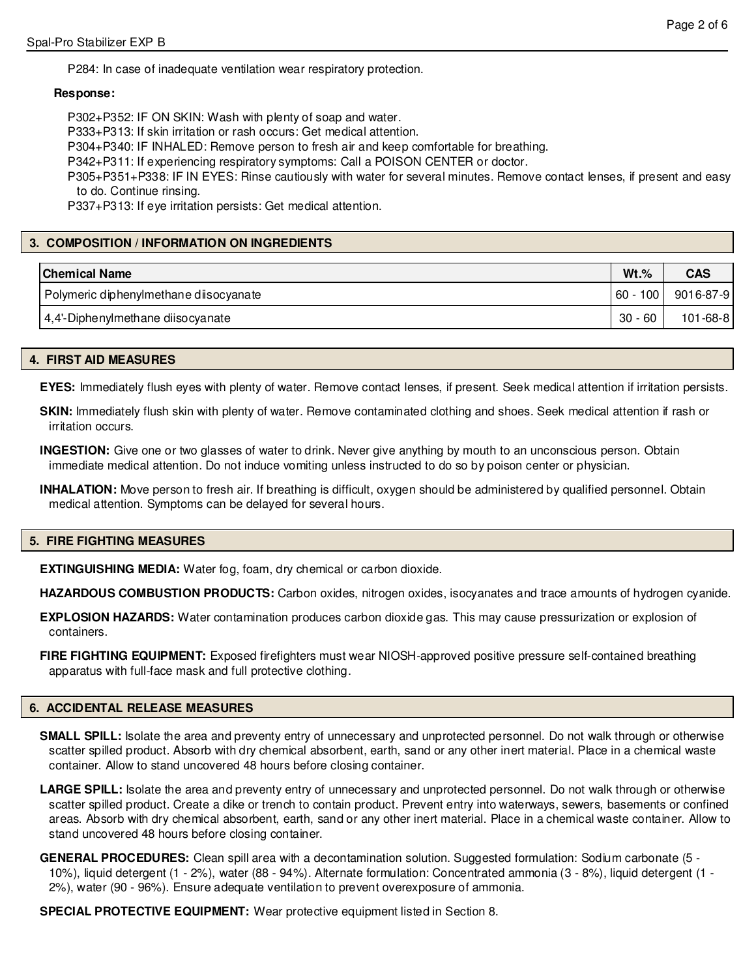P284: In case of inadequate ventilation wear respiratory protection.

#### **Response:**

P302+P352: IF ON SKIN: Wash with plenty of soap and water.

P333+P313: If skin irritation or rash occurs: Get medical attention.

P304+P340: IF INHALED: Remove person to fresh air and keep comfortable for breathing.

P342+P311: If experiencing respiratory symptoms: Call a POISON CENTER or doctor.

P305+P351+P338: IF IN EYES: Rinse cautiously with water for several minutes. Remove contact lenses, if present and easy to do. Continue rinsing.

P337+P313: If eye irritation persists: Get medical attention.

# **3. COMPOSITION / INFORMATION ON INGREDIENTS**

| <b>Chemical Name</b>                    | $Wt.\%$    | <b>CAS</b>     |
|-----------------------------------------|------------|----------------|
| Polymeric diphenylmethane diisocyanate_ | 60 - 100 l | 9016-87-9      |
| 4,4'-Diphenylmethane diisocyanate       | $30 - 60$  | $101 - 68 - 8$ |

# **4. FIRST AID MEASURES**

**EYES:** Immediately flush eyes with plenty of water. Remove contact lenses, if present. Seek medical attention if irritation persists.

**SKIN:** Immediately flush skin with plenty of water. Remove contaminated clothing and shoes. Seek medical attention if rash or irritation occurs.

**INGESTION:** Give one or two glasses of water to drink. Never give anything by mouth to an unconscious person. Obtain immediate medical attention. Do not induce vomiting unless instructed to do so by poison center or physician.

**INHALATION:** Move person to fresh air. If breathing is difficult, oxygen should be administered by qualified personnel. Obtain medical attention. Symptoms can be delayed for several hours.

#### **5. FIRE FIGHTING MEASURES**

**EXTINGUISHING MEDIA:** Water fog, foam, dry chemical or carbon dioxide.

**HAZARDOUS COMBUSTION PRODUCTS:** Carbon oxides, nitrogen oxides, isocyanates and trace amounts of hydrogen cyanide.

**EXPLOSION HAZARDS:** Water contamination produces carbon dioxide gas. This may cause pressurization or explosion of containers.

**FIRE FIGHTING EQUIPMENT:** Exposed firefighters must wear NIOSH-approved positive pressure self-contained breathing apparatus with full-face mask and full protective clothing.

# **6. ACCIDENTAL RELEASE MEASURES**

- **SMALL SPILL:** Isolate the area and preventy entry of unnecessary and unprotected personnel. Do not walk through or otherwise scatter spilled product. Absorb with dry chemical absorbent, earth, sand or any other inert material. Place in a chemical waste container. Allow to stand uncovered 48 hours before closing container.
- LARGE SPILL: Isolate the area and preventy entry of unnecessary and unprotected personnel. Do not walk through or otherwise scatter spilled product. Create a dike or trench to contain product. Prevent entry into waterways, sewers, basements or confined areas. Absorb with dry chemical absorbent, earth, sand or any other inert material. Place in a chemical waste container. Allow to stand uncovered 48 hours before closing container.
- **GENERAL PROCEDURES:** Clean spill area with a decontamination solution. Suggested formulation: Sodium carbonate (5 10%), liquid detergent (1 - 2%), water (88 - 94%). Alternate formulation: Concentrated ammonia (3 - 8%), liquid detergent (1 - 2%), water (90 - 96%). Ensure adequate ventilation to prevent overexposure of ammonia.

**SPECIAL PROTECTIVE EQUIPMENT:** Wear protective equipment listed in Section 8.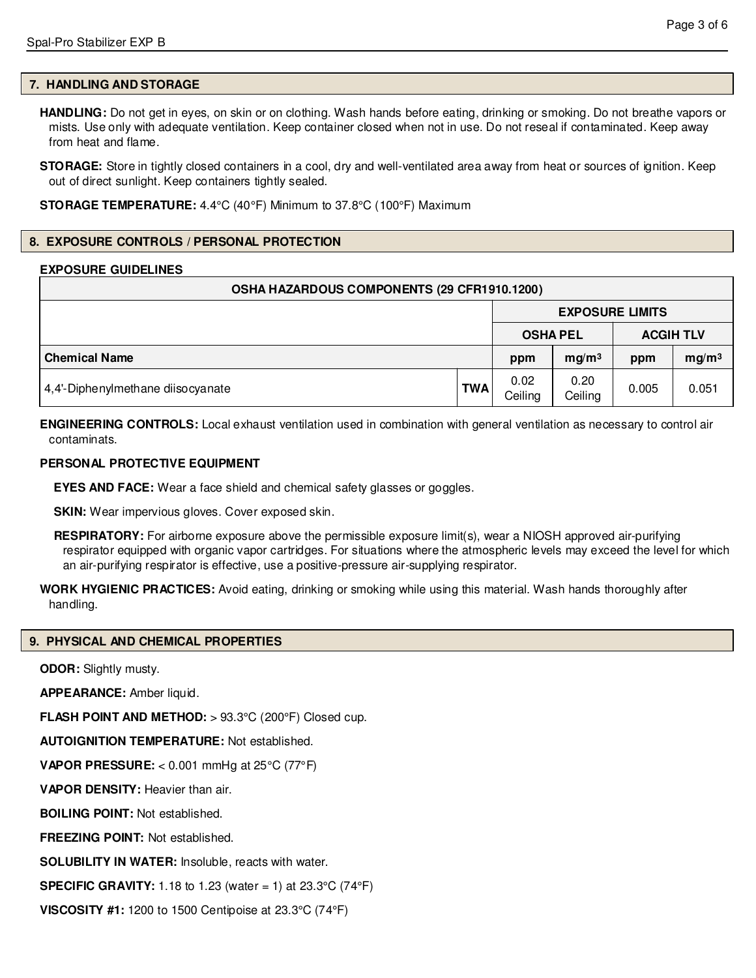# **7. HANDLING AND STORAGE**

**HANDLING:** Do not get in eyes, on skin or on clothing. Wash hands before eating, drinking or smoking. Do not breathe vapors or mists. Use only with adequate ventilation. Keep container closed when not in use. Do not reseal if contaminated. Keep away from heat and flame.

**STORAGE:** Store in tightly closed containers in a cool, dry and well-ventilated area away from heat or sources of ignition. Keep out of direct sunlight. Keep containers tightly sealed.

**STORAGE TEMPERATURE:** 4.4°C (40°F) Minimum to 37.8°C (100°F) Maximum

# **8. EXPOSURE CONTROLS / PERSONAL PROTECTION**

# **EXPOSURE GUIDELINES**

| OSHA HAZARDOUS COMPONENTS (29 CFR1910.1200) |            |                        |                   |       |                   |
|---------------------------------------------|------------|------------------------|-------------------|-------|-------------------|
|                                             |            | <b>EXPOSURE LIMITS</b> |                   |       |                   |
|                                             |            |                        | <b>OSHA PEL</b>   |       | <b>ACGIH TLV</b>  |
| <b>Chemical Name</b>                        |            | ppm                    | mq/m <sup>3</sup> | ppm   | mg/m <sup>3</sup> |
| 4,4'-Diphenylmethane diisocyanate           | <b>TWA</b> | 0.02<br>Ceiling        | 0.20<br>Ceiling   | 0.005 | 0.051             |

**ENGINEERING CONTROLS:** Local exhaust ventilation used in combination with general ventilation as necessary to control air contaminats.

# **PERSONAL PROTECTIVE EQUIPMENT**

**EYES AND FACE:** Wear a face shield and chemical safety glasses or goggles.

**SKIN:** Wear impervious gloves. Cover exposed skin.

**RESPIRATORY:** For airborne exposure above the permissible exposure limit(s), wear a NIOSH approved air-purifying respirator equipped with organic vapor cartridges. For situations where the atmospheric levels may exceed the level for which an air-purifying respirator is effective, use a positive-pressure air-supplying respirator.

**WORK HYGIENIC PRACTICES:** Avoid eating, drinking or smoking while using this material. Wash hands thoroughly after handling.

# **9. PHYSICAL AND CHEMICAL PROPERTIES**

**ODOR:** Slightly musty.

**APPEARANCE:** Amber liquid.

**FLASH POINT AND METHOD:** > 93.3°C (200°F) Closed cup.

**AUTOIGNITION TEMPERATURE:** Not established.

**VAPOR PRESSURE:** < 0.001 mmHg at 25°C (77°F)

**VAPOR DENSITY:** Heavier than air.

**BOILING POINT:** Not established.

**FREEZING POINT:** Not established.

**SOLUBILITY IN WATER:** Insoluble, reacts with water.

**SPECIFIC GRAVITY:** 1.18 to 1.23 (water = 1) at 23.3°C (74°F)

**VISCOSITY #1:** 1200 to 1500 Centipoise at 23.3°C (74°F)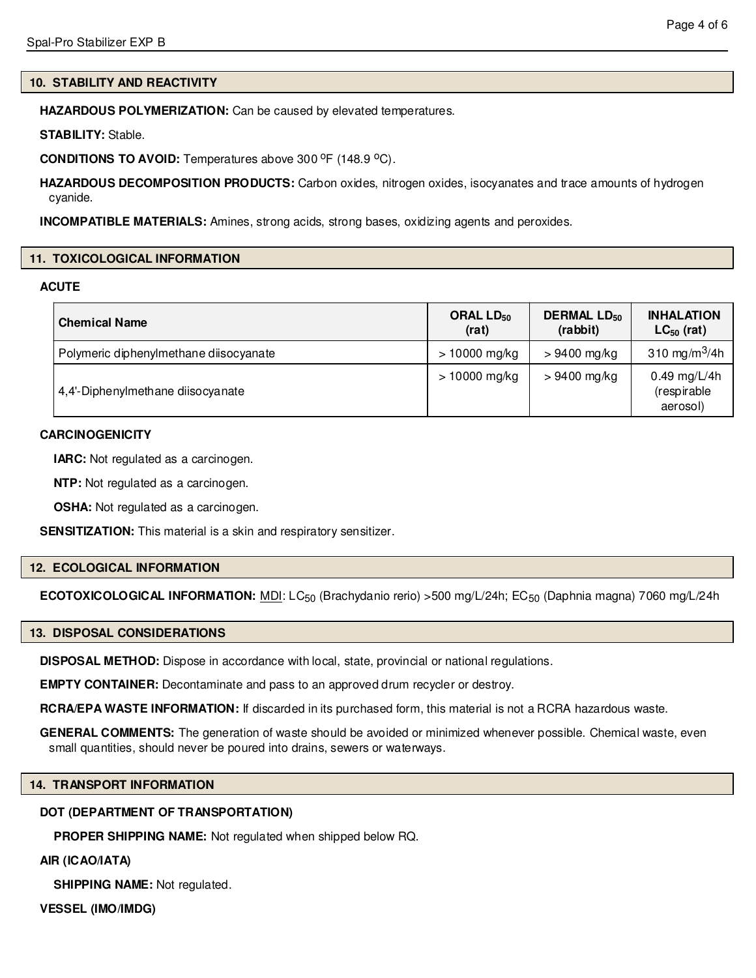# **10. STABILITY AND REACTIVITY**

**HAZARDOUS POLYMERIZATION:** Can be caused by elevated temperatures.

**STABILITY:** Stable.

**CONDITIONS TO AVOID:** Temperatures above 300 °F (148.9 °C).

**HAZARDOUS DECOMPOSITION PRODUCTS:** Carbon oxides, nitrogen oxides, isocyanates and trace amounts of hydrogen cyanide.

**INCOMPATIBLE MATERIALS:** Amines, strong acids, strong bases, oxidizing agents and peroxides.

#### **11. TOXICOLOGICAL INFORMATION**

#### **ACUTE**

| <b>Chemical Name</b>                   | ORAL $LD_{50}$<br>(rat) | <b>DERMAL LD<sub>50</sub></b><br>(rabbit) | <b>INHALATION</b><br>$LC_{50}$ (rat)    |
|----------------------------------------|-------------------------|-------------------------------------------|-----------------------------------------|
| Polymeric diphenylmethane diisocyanate | $> 10000$ mg/kg         | $>9400$ mg/kg                             | 310 mg/m <sup>3</sup> /4h               |
| 4,4'-Diphenylmethane diisocyanate      | $> 10000$ mg/kg         | $>9400$ mg/kg                             | 0.49 mg/L/4h<br>(respirable<br>aerosol) |

# **CARCINOGENICITY**

**IARC:** Not regulated as a carcinogen.

**NTP:** Not regulated as a carcinogen.

**OSHA:** Not regulated as a carcinogen.

**SENSITIZATION:** This material is a skin and respiratory sensitizer.

#### **12. ECOLOGICAL INFORMATION**

**ECOTOXICOLOGICAL INFORMATION:** MDI: LC<sub>50</sub> (Brachydanio rerio) >500 mg/L/24h; EC<sub>50</sub> (Daphnia magna) 7060 mg/L/24h

#### **13. DISPOSAL CONSIDERATIONS**

**DISPOSAL METHOD:** Dispose in accordance with local, state, provincial or national regulations.

**EMPTY CONTAINER:** Decontaminate and pass to an approved drum recycler or destroy.

**RCRA/EPA WASTE INFORMATION:** If discarded in its purchased form, this material is not a RCRA hazardous waste.

**GENERAL COMMENTS:** The generation of waste should be avoided or minimized whenever possible. Chemical waste, even small quantities, should never be poured into drains, sewers or waterways.

# **14. TRANSPORT INFORMATION**

# **DOT (DEPARTMENT OF TRANSPORTATION)**

**PROPER SHIPPING NAME:** Not regulated when shipped below RQ.

**AIR (ICAO/IATA)**

**SHIPPING NAME:** Not regulated.

**VESSEL (IMO/IMDG)**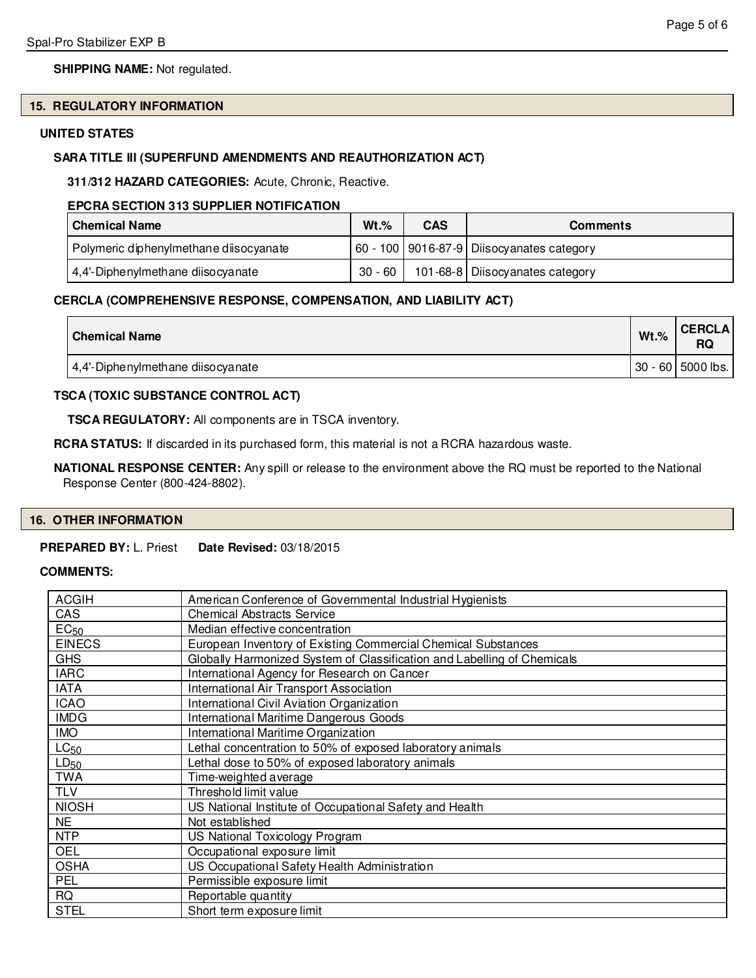# **SHIPPING NAME:** Not regulated.

# **15. REGULATORY INFORMATION**

# **UNITED STATES**

# **SARA TITLE III (SUPERFUND AMENDMENTS AND REAUTHORIZATION ACT)**

**311/312 HAZARD CATEGORIES:** Acute, Chronic, Reactive.

# **EPCRA SECTION 313 SUPPLIER NOTIFICATION**

| <b>Chemical Name</b>                   | $Wt.\%$ | <b>CAS</b> | <b>Comments</b>                               |
|----------------------------------------|---------|------------|-----------------------------------------------|
| Polymeric diphenylmethane diisocyanate |         |            | 60 - 100   9016-87-9   Diisocyanates category |
| 4,4'-Diphenylmethane diisocyanate      | 30 - 60 |            | 101-68-8   Diisocyanates category             |

# **CERCLA (COMPREHENSIVE RESPONSE, COMPENSATION, AND LIABILITY ACT)**

| <b>Chemical Name</b>              | $Wt.\%$ | <b>CERCLA</b><br>RQ   |
|-----------------------------------|---------|-----------------------|
| 4,4'-Diphenylmethane diisocyanate |         | $ 30 - 60 $ 5000 lbs. |

# **TSCA (TOXIC SUBSTANCE CONTROL ACT)**

**TSCA REGULATORY:** All components are in TSCA inventory.

**RCRA STATUS:** If discarded in its purchased form, this material is not a RCRA hazardous waste.

**NATIONAL RESPONSE CENTER:** Any spill or release to the environment above the RQ must be reported to the National Response Center (800-424-8802).

#### **16. OTHER INFORMATION**

#### **PREPARED BY:** L. Priest **Date Revised:** 03/18/2015

# **COMMENTS:**

| <b>ACGIH</b>     | American Conference of Governmental Industrial Hygienists               |
|------------------|-------------------------------------------------------------------------|
| CAS              | <b>Chemical Abstracts Service</b>                                       |
| EC <sub>50</sub> | Median effective concentration                                          |
| <b>EINECS</b>    | European Inventory of Existing Commercial Chemical Substances           |
| <b>GHS</b>       | Globally Harmonized System of Classification and Labelling of Chemicals |
| <b>IARC</b>      | International Agency for Research on Cancer                             |
| <b>IATA</b>      | International Air Transport Association                                 |
| <b>ICAO</b>      | International Civil Aviation Organization                               |
| <b>IMDG</b>      | International Maritime Dangerous Goods                                  |
| <b>IMO</b>       | International Maritime Organization                                     |
| LC <sub>50</sub> | Lethal concentration to 50% of exposed laboratory animals               |
| $LD_{50}$        | Lethal dose to 50% of exposed laboratory animals                        |
| <b>TWA</b>       | Time-weighted average                                                   |
| <b>TLV</b>       | Threshold limit value                                                   |
| <b>NIOSH</b>     | US National Institute of Occupational Safety and Health                 |
| <b>NE</b>        | Not established                                                         |
| <b>NTP</b>       | US National Toxicology Program                                          |
| <b>OEL</b>       | Occupational exposure limit                                             |
| <b>OSHA</b>      | US Occupational Safety Health Administration                            |
| <b>PEL</b>       | Permissible exposure limit                                              |
| <b>RQ</b>        | Reportable quantity                                                     |
| <b>STEL</b>      | Short term exposure limit                                               |